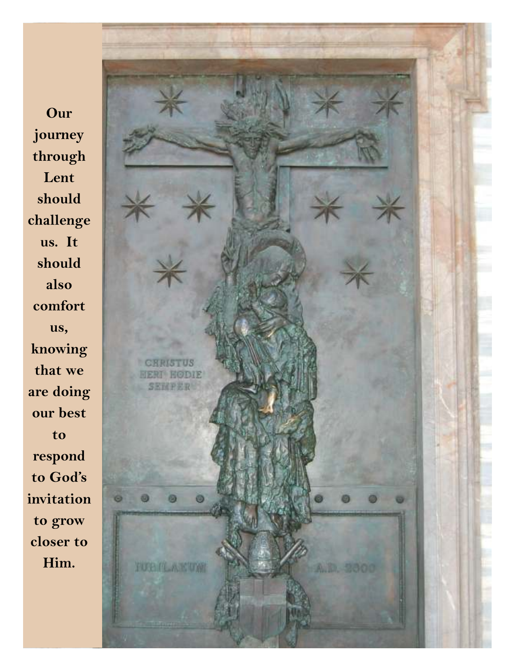**Our journey through Lent should challenge us. It should also comfort us, knowing that we are doing our best to respond to God's invitation to grow closer to Him.** 

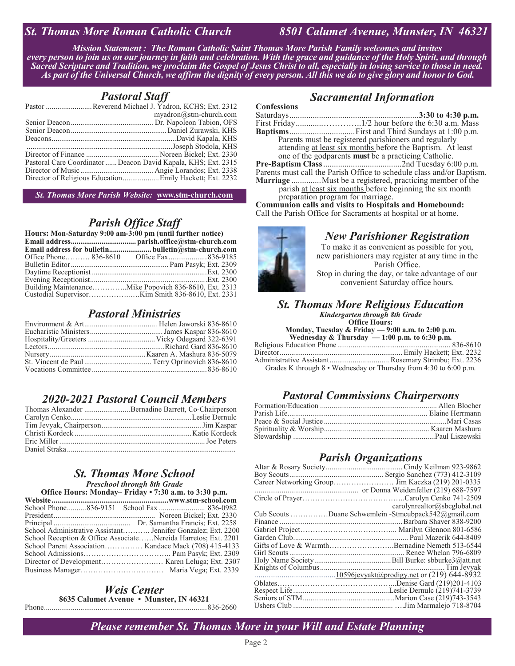#### *St. Thomas More Roman Catholic Church 8501 Calumet Avenue, Munster, IN 46321*

*Mission Statement : The Roman Catholic Saint Thomas More Parish Family welcomes and invites every person to join us on our journey in faith and celebration. With the grace and guidance of the Holy Spirit, and through Sacred Scripture and Tradition, we proclaim the Gospel of Jesus Christ to all, especially in loving service to those in need. As part of the Universal Church, we affirm the dignity of every person. All this we do to give glory and honor to God.*

#### *Pastoral Staff*

| Pastor Reverend Michael J. Yadron, KCHS; Ext. 2312             |
|----------------------------------------------------------------|
| myadron@stm-church.com                                         |
|                                                                |
|                                                                |
|                                                                |
|                                                                |
|                                                                |
| Pastoral Care Coordinator  Deacon David Kapala, KHS; Ext. 2315 |
|                                                                |
|                                                                |

*St. Thomas More Parish Website:* **www.stm-church.com** 

#### *Parish Office Staff*

| Hours: Mon-Saturday 9:00 am-3:00 pm (until further notice) |                                                        |
|------------------------------------------------------------|--------------------------------------------------------|
|                                                            |                                                        |
|                                                            |                                                        |
|                                                            |                                                        |
|                                                            |                                                        |
|                                                            |                                                        |
|                                                            |                                                        |
|                                                            | Building Maintenance Mike Popovich 836-8610, Ext. 2313 |
|                                                            |                                                        |

#### *Pastoral Ministries*

## *2020-2021 Pastoral Council Members*

| Thomas Alexander Bernadine Barrett, Co-Chairperson |
|----------------------------------------------------|
|                                                    |
|                                                    |
|                                                    |
|                                                    |
|                                                    |

#### *St. Thomas More School Preschool through 8th Grade*

#### **Office Hours: Monday– Friday • 7:30 a.m. to 3:30 p.m.**

| School Administrative Assistant Jennifer Gonzalez; Ext. 2200   |  |
|----------------------------------------------------------------|--|
| School Reception & Office AssociateNereida Harretos; Ext. 2201 |  |
|                                                                |  |
|                                                                |  |
|                                                                |  |
|                                                                |  |

#### *Weis Center*  **8635 Calumet Avenue • Munster, IN 46321**

Phone ..................................................................................... 836-2660

#### *Sacramental Information*

**Confessions**  Saturdays ............................................................. **3:30 to 4:30 p.m.** First Friday ............. …………..1/2 hour before the 6:30 a.m. Mass **Baptisms** ............................... First and Third Sundays at 1:00 p.m. Parents must be registered parishioners and regularly attending at least six months before the Baptism. At least one of the godparents **must** be a practicing Catholic. **Pre-Baptism Class** .....................................2nd Tuesday 6:00 p.m. Parents must call the Parish Office to schedule class and/or Baptism.

**Marriage** .............. Must be a registered, practicing member of the parish at least six months before beginning the six month

preparation program for marriage.

**Communion calls and visits to Hospitals and Homebound:** Call the Parish Office for Sacraments at hospital or at home.

#### *New Parishioner Registration*

To make it as convenient as possible for you, new parishioners may register at any time in the Parish Office. Stop in during the day, or take advantage of our convenient Saturday office hours.

#### *St. Thomas More Religious Education*

*Kindergarten through 8th Grade* 

**Office Hours: Monday, Tuesday & Friday — 9:00 a.m. to 2:00 p.m.** 

**Wednesday & Thursday — 1:00 p.m. to 6:30 p.m.**  Religious Education Phone ........................................................... 836-8610 Director ................................................................ Emily Hackett; Ext. 2232 Administrative Assistant ............................... Rosemary Strimbu; Ext. 2236

Grades K through 8 • Wednesday or Thursday from 4:30 to 6:00 p.m.

#### *Pastoral Commissions Chairpersons*

#### *Parish Organizations*

| carolynrealtor@sbcglobal.net                         |
|------------------------------------------------------|
| Cub Scouts Duane Schwemlein -Stmcubpack542@gmail.com |
|                                                      |
|                                                      |
|                                                      |
| Gifts of Love & WarmthBernadine Nemeth 513-6544      |
|                                                      |
|                                                      |
|                                                      |
|                                                      |
|                                                      |
|                                                      |
|                                                      |
|                                                      |

*Please remember St. Thomas More in your Will and Estate Planning*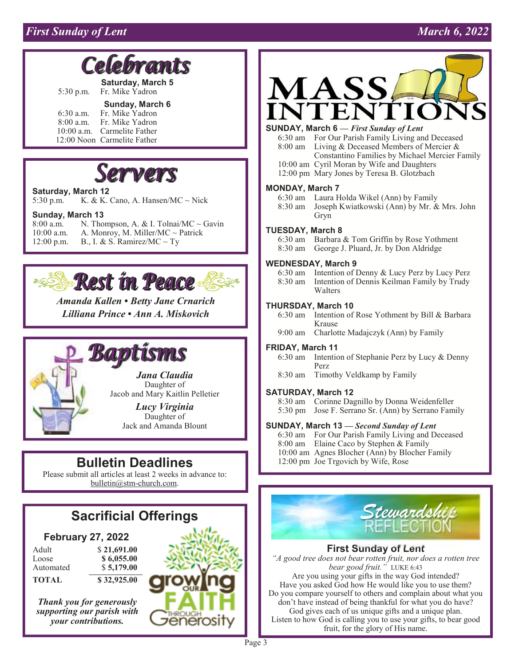## *First Sunday of Lent* March 6, 2022

# **Le bramts**

**Saturday, March 5**  5:30 p.m. Fr. Mike Yadron

#### **Sunday, March 6**

 6:30 a.m. Fr. Mike Yadron Fr. Mike Yadron 10:00 a.m. Carmelite Father 12:00 Noon Carmelite Father



#### **Saturday, March 12**

5:30 p.m. K. & K. Cano, A. Hansen/MC  $\sim$  Nick

# **Sunday, March 13**<br>8:00 a.m. **N. Tho**

N. Thompson, A. & I. Tolnai/MC  $\sim$  Gavin 10:00 a.m. A. Monroy, M. Miller/MC  $\sim$  Patrick 12:00 p.m. B., I. & S. Ramirez/MC  $\sim$  Ty



*Amanda Kallen • Betty Jane Crnarich Lilliana Prince • Ann A. Miskovich* 



*Lucy Virginia*  Daughter of Jack and Amanda Blount

# **Bulletin Deadlines**

Please submit all articles at least 2 weeks in advance to: bulletin@stm-church.com.

#### **February 27, 2022**

| Adult              | \$21,691.00              |
|--------------------|--------------------------|
| Loose<br>Automated | \$6,055.00<br>\$5,179.00 |
| TOTAL              | \$32,925.00              |

*Thank you for generously supporting our parish with your contributions.* 





#### **SUNDAY, March 6 —** *First Sunday of Lent*

 6:30 am For Our Parish Family Living and Deceased 8:00 am Living & Deceased Members of Mercier & Constantino Families by Michael Mercier Family 10:00 am Cyril Moran by Wife and Daughters

12:00 pm Mary Jones by Teresa B. Glotzbach

#### **MONDAY, March 7**

6:30 am Laura Holda Wikel (Ann) by Family

 8:30 am Joseph Kwiatkowski (Ann) by Mr. & Mrs. John Gryn

#### **TUESDAY, March 8**

 6:30 am Barbara & Tom Griffin by Rose Yothment 8:30 am George J. Pluard, Jr. by Don Aldridge

#### **WEDNESDAY, March 9**

 6:30 am Intention of Denny & Lucy Perz by Lucy Perz 8:30 am Intention of Dennis Keilman Family by Trudy Walters

#### **THURSDAY, March 10**

 6:30 am Intention of Rose Yothment by Bill & Barbara Krause

9:00 am Charlotte Madajczyk (Ann) by Family

#### **FRIDAY, March 11**

6:30 am Intention of Stephanie Perz by Lucy & Denny Perz

8:30 am Timothy Veldkamp by Family

#### **SATURDAY, March 12**

 8:30 am Corinne Dagnillo by Donna Weidenfeller 5:30 pm Jose F. Serrano Sr. (Ann) by Serrano Family

#### **SUNDAY, March 13 —** *Second Sunday of Lent*

 6:30 am For Our Parish Family Living and Deceased 8:00 am Elaine Caco by Stephen & Family 10:00 am Agnes Blocher (Ann) by Blocher Family 12:00 pm Joe Trgovich by Wife, Rose



#### **First Sunday of Lent**

*"A good tree does not bear rotten fruit, nor does a rotten tree bear good fruit."* LUKE 6:43 Are you using your gifts in the way God intended? Have you asked God how He would like you to use them? Do you compare yourself to others and complain about what you don't have instead of being thankful for what you do have? God gives each of us unique gifts and a unique plan. Listen to how God is calling you to use your gifts, to bear good fruit, for the glory of His name.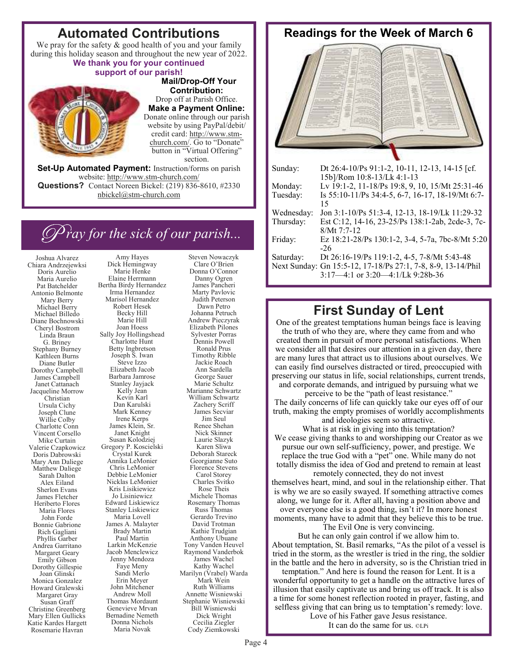# **Automated Contributions**

We pray for the safety & good health of you and your family during this holiday season and throughout the new year of 2022.

#### **We thank you for your continued support of our parish!**



 **Mail/Drop-Off Your Contribution:**  Drop off at Parish Office. **Make a Payment Online:**  Donate online through our parish website by using PayPal/debit/ credit card: http://www.stmchurch.com/. Go to "Donate" button in "Virtual Offering" section.

**Set-Up Automated Payment:** Instruction/forms on parish website: http://www.stm-church.com/ **Questions?** Contact Noreen Bickel: (219) 836-8610, #2330 nbickel@stm-church.com

# *C ray for the sick of our parish...*

Amy Hayes

Joshua Alvarez Chiara Andrzejewksi Doris Aurelio Maria Aurelio Pat Batchelder Antonio Belmonte Mary Berry Michael Berry Michael Billedo Diane Bochnowski Cheryl Bostrom Linda Braun G. Briney Stephany Burney Kathleen Burns Diane Butler Dorothy Campbell James Campbell Janet Cattanach Jacqueline Morrow Christian Ursula Cichy Joseph Clune Willie Colby Charlotte Conn Vincent Corsello Mike Curtain Valerie Czapkowicz Doris Dabrowski Mary Ann Daliege Matthew Daliege Sarah Dalton Alex Eiland Sherlon Evans James Fletcher Heriberto Flores Maria Flores John Forde Bonnie Gabrione Rich Gagliani Phyllis Garber Andrea Garritano Margaret Geary Emily Gibson Dorothy Gillespie Joan Glinski Monica Gonzalez Howard Gralewski Margaret Gray Susan Graff Christine Greenberg Mary Ellen Gullicks Katie Kardes Hargett Rosemarie Havran

Dick Hemingway Marie Henke Elaine Herrmann Bertha Birdy Hernandez Irma Hernandez Marisol Hernandez Robert Hesek Becky Hill Marie Hill Joan Hoess Sally Joy Hollingshead Charlotte Hunt Betty Ingbretson Joseph S. Iwan Steve Izzo Elizabeth Jacob Barbara Jamrose Stanley Jayjack Kelly Jean Kevin Karl Dan Karulski Mark Kenney Irene Kerps James Klein, Sr. Janet Knight Susan Kolodziej Gregory P. Koscielski Crystal Kurek Annika LeMonier Chris LeMonier Debbie LeMonier Nicklas LeMonier Kris Lisikiewicz Jo Lisiniewicz Edward Liskiewicz Stanley Liskiewicz Maria Lovell James A. Malayter Brady Martin Paul Martin Larkin McKenzie Jacob Menclewicz Jenny Mendoza Faye Meny Sandi Merlo Erin Meyer John Mitchener Andrew Moll Thomas Mordaunt Genevieve Mrvan Bernadine Nemeth Donna Nichols Maria Novak

Steven Nowaczyk Clare O'Brien Donna O'Connor Danny Ogren James Pancheri Marty Pavlovic Judith Peterson Dawn Petro Johanna Petruch Andrew Pieczyrak Elizabeth Pilones Sylvester Porras Dennis Powell Ronald Prus Timothy Ribble Jackie Roach Ann Sardella George Sauer Marie Schultz Marianne Schwartz William Schwartz Zachery Scriff James Secviar Jim Seul Renee Shehan Nick Skinner Laurie Slazyk Karen Sliwa Deborah Stareck Georgianne Suto Florence Stevens Carol Storey Charles Svitko Rose Theis Michele Thomas Rosemary Thomas Russ Thomas Gerardo Trevino David Trotman Kathie Trudgian Anthony Ubuane Tony Vanden Heuvel Raymond Vanderbok James Wachel Kathy Wachel Marilyn (Vrabel) Warda Mark Wein Ruth Williams Annette Wisniewski Stephanie Wisniewski Bill Wisniewski Dick Wright Cecilia Ziegler Cody Ziemkowski

#### **Readings for the Week of March 6**



| Sunday:    | Dt 26:4-10/Ps 91:1-2, 10-11, 12-13, 14-15 [cf.]              |
|------------|--------------------------------------------------------------|
|            | 15b]/Rom 10:8-13/Lk 4:1-13                                   |
| Monday:    | Lv 19:1-2, 11-18/Ps 19:8, 9, 10, 15/Mt 25:31-46              |
| Tuesday:   | Is 55:10-11/Ps 34:4-5, 6-7, 16-17, 18-19/Mt 6:7-             |
|            | 15                                                           |
| Wednesday: | Jon 3:1-10/Ps 51:3-4, 12-13, 18-19/Lk 11:29-32               |
| Thursday:  | Est C:12, 14-16, 23-25/Ps 138:1-2ab, 2cde-3, 7c-             |
|            | $8/Mt$ 7:7-12                                                |
| Friday:    | Ez 18:21-28/Ps 130:1-2, 3-4, 5-7a, 7bc-8/Mt 5:20             |
|            | $-26$                                                        |
| Saturday:  | Dt 26:16-19/Ps 119:1-2, 4-5, 7-8/Mt 5:43-48                  |
|            | Next Sunday: Gn 15:5-12, 17-18/Ps 27:1, 7-8, 8-9, 13-14/Phil |
|            | $3:17-4:1$ or $3:20-4:1/Lk$ 9:28b-36                         |

# **First Sunday of Lent**

One of the greatest temptations human beings face is leaving the truth of who they are, where they came from and who created them in pursuit of more personal satisfactions. When we consider all that desires our attention in a given day, there are many lures that attract us to illusions about ourselves. We can easily find ourselves distracted or tired, preoccupied with preserving our status in life, social relationships, current trends, and corporate demands, and intrigued by pursuing what we

perceive to be the "path of least resistance." The daily concerns of life can quickly take our eyes off of our truth, making the empty promises of worldly accomplishments and ideologies seem so attractive.

What is at risk in giving into this temptation? We cease giving thanks to and worshipping our Creator as we pursue our own self-sufficiency, power, and prestige. We replace the true God with a "pet" one. While many do not totally dismiss the idea of God and pretend to remain at least

remotely connected, they do not invest themselves heart, mind, and soul in the relationship either. That is why we are so easily swayed. If something attractive comes along, we lunge for it. After all, having a position above and over everyone else is a good thing, isn't it? In more honest moments, many have to admit that they believe this to be true. The Evil One is very convincing.

But he can only gain control if we allow him to. About temptation, St. Basil remarks, "As the pilot of a vessel is tried in the storm, as the wrestler is tried in the ring, the soldier in the battle and the hero in adversity, so is the Christian tried in

temptation." And here is found the reason for Lent. It is a wonderful opportunity to get a handle on the attractive lures of illusion that easily captivate us and bring us off track. It is also a time for some honest reflection rooted in prayer, fasting, and selfless giving that can bring us to temptation's remedy: love. Love of his Father gave Jesus resistance.

It can do the same for us. ©LPi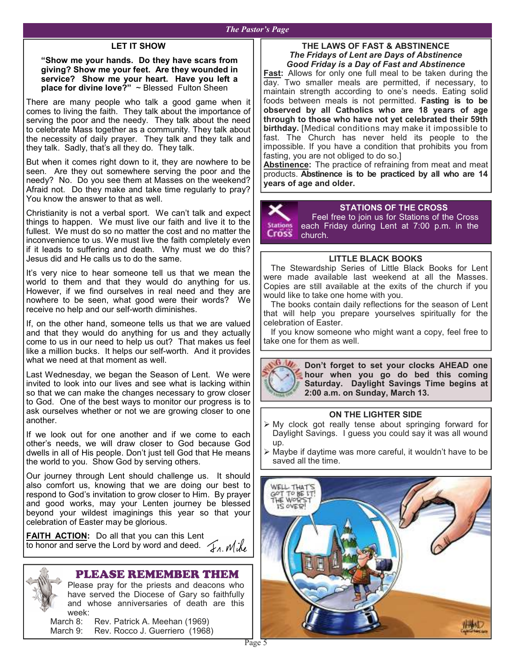#### *The Pastor's Page*

#### **LET IT SHOW**

**"Show me your hands. Do they have scars from giving? Show me your feet. Are they wounded in service? Show me your heart. Have you left a place for divine love?"** ~ Blessed Fulton Sheen

There are many people who talk a good game when it comes to living the faith. They talk about the importance of serving the poor and the needy. They talk about the need to celebrate Mass together as a community. They talk about the necessity of daily prayer. They talk and they talk and they talk. Sadly, that's all they do. They talk.

But when it comes right down to it, they are nowhere to be seen. Are they out somewhere serving the poor and the needy? No. Do you see them at Masses on the weekend? Afraid not. Do they make and take time regularly to pray? You know the answer to that as well.

Christianity is not a verbal sport. We can't talk and expect things to happen. We must live our faith and live it to the fullest. We must do so no matter the cost and no matter the inconvenience to us. We must live the faith completely even if it leads to suffering and death. Why must we do this? Jesus did and He calls us to do the same.

It's very nice to hear someone tell us that we mean the world to them and that they would do anything for us. However, if we find ourselves in real need and they are nowhere to be seen, what good were their words? We receive no help and our self-worth diminishes.

If, on the other hand, someone tells us that we are valued and that they would do anything for us and they actually come to us in our need to help us out? That makes us feel like a million bucks. It helps our self-worth. And it provides what we need at that moment as well.

Last Wednesday, we began the Season of Lent. We were invited to look into our lives and see what is lacking within so that we can make the changes necessary to grow closer to God. One of the best ways to monitor our progress is to ask ourselves whether or not we are growing closer to one another.

If we look out for one another and if we come to each other's needs, we will draw closer to God because God dwells in all of His people. Don't just tell God that He means the world to you. Show God by serving others.

Our journey through Lent should challenge us. It should also comfort us, knowing that we are doing our best to respond to God's invitation to grow closer to Him. By prayer and good works, may your Lenten journey be blessed beyond your wildest imaginings this year so that your celebration of Easter may be glorious.

**FAITH ACTION:** Do all that you can this Lent to honor and serve the Lord by word and deed.  $\mathcal{L}_{\Lambda}$   $\mathcal{M}_{\Lambda}$ 

## PLEASE REMEMBER THEM

Please pray for the priests and deacons who have served the Diocese of Gary so faithfully and whose anniversaries of death are this week:

March 8: Rev. Patrick A. Meehan (1969) March 9: Rev. Rocco J. Guerriero (1968)

#### **THE LAWS OF FAST & ABSTINENCE**  *The Fridays of Lent are Days of Abstinence Good Friday is a Day of Fast and Abstinence*

**Fast:** Allows for only one full meal to be taken during the day. Two smaller meals are permitted, if necessary, to maintain strength according to one's needs. Eating solid foods between meals is not permitted. **Fasting is to be observed by all Catholics who are 18 years of age through to those who have not yet celebrated their 59th birthday.** [Medical conditions may make it impossible to fast. The Church has never held its people to the impossible. If you have a condition that prohibits you from fasting, you are not obliged to do so.]

**Abstinence:** The practice of refraining from meat and meat products. **Abstinence is to be practiced by all who are 14 years of age and older.**

**STATIONS OF THE CROSS**  Feel free to join us for Stations of the Cross **Station** each Friday during Lent at 7:00 p.m. in the Cross church.

#### **LITTLE BLACK BOOKS**

 The Stewardship Series of Little Black Books for Lent were made available last weekend at all the Masses. Copies are still available at the exits of the church if you would like to take one home with you.

 The books contain daily reflections for the season of Lent that will help you prepare yourselves spiritually for the celebration of Easter.

 If you know someone who might want a copy, feel free to take one for them as well.



**Don't forget to set your clocks AHEAD one hour when you go do bed this coming Saturday. Daylight Savings Time begins at 2:00 a.m. on Sunday, March 13.** 

#### **ON THE LIGHTER SIDE**

- My clock got really tense about springing forward for Daylight Savings. I guess you could say it was all wound up.
- $\triangleright$  Maybe if daytime was more careful, it wouldn't have to be saved all the time.

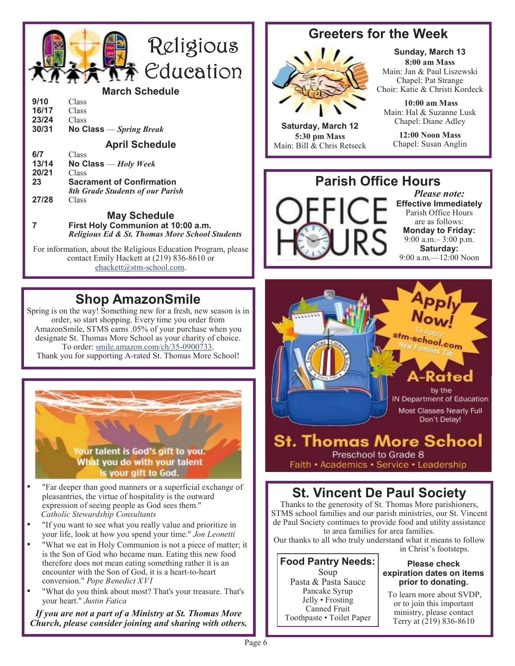

#### **March Schedule**

| 9/10  | Class                    |
|-------|--------------------------|
| 16/17 | Class                    |
| 23/24 | Class                    |
| 30/31 | No Class $-Spring$ Break |

**April Schedule** 

| 6/7   | Class                                   |
|-------|-----------------------------------------|
| 13/14 | No Class $-Holy$ Week                   |
| 20/21 | Class                                   |
| 23    | <b>Sacrament of Confirmation</b>        |
|       | <b>8th Grade Students of our Parish</b> |
| 27/28 | Class                                   |

#### **May Schedule 7 First Holy Communion at 10:00 a.m.**

 *Religious Ed & St. Thomas More School Students* 

For information, about the Religious Education Program, please contact Emily Hackett at (219) 836-8610 or ehackett@stm-school.com.

# **Shop AmazonSmile**

Spring is on the way! Something new for a fresh, new season is in order, so start shopping. Every time you order from AmazonSmile, STMS earns .05% of your purchase when you designate St. Thomas More School as your charity of choice. To order: smile.amazon.com/ch/35-0900733. Thank you for supporting A-rated St. Thomas More School!

our talent is God's gift to you. What you do with your talent is your gift to God.

- "Far deeper than good manners or a superficial exchange of pleasantries, the virtue of hospitality is the outward expression of seeing people as God sees them." *Catholic Stewardship Consultants*
- "If you want to see what you really value and prioritize in your life, look at how you spend your time." *Jon Leonetti*
- "What we eat in Holy Communion is not a piece of matter; it is the Son of God who became man. Eating this new food therefore does not mean eating something rather it is an encounter with the Son of God, it is a heart-to-heart conversion." *Pope Benedict XVI*
- "What do you think about most? That's your treasure. That's your heart." *Justin Fatica*

*If you are not a part of a Ministry at St. Thomas More Church, please consider joining and sharing with others.* 

# **Greeters for the Week**



**Saturday, March 12 5:30 pm Mass**  Main: Bill & Chris Retseck

**Sunday, March 13 8:00 am Mass**  Main: Jan & Paul Liszewski Chapel: Pat Strange Choir: Katie & Christi Kordeck

 **10:00 am Mass**  Main: Hal & Suzanne Lusk Chapel: Diane Adley

**12:00 Noon Mass**  Chapel: Susan Anglin

# **Parish Office Hours**

*Please note:*  **Effective Immediately**  Parish Office Hours are as follows: **Monday to Friday:**  9:00 a.m.– 3:00 p.m. **Saturday:**  9:00 a.m.—12:00 Noon



**St. Thomas More School** Preschool to Grade 8 Faith · Academics · Service · Leadership

# **St. Vincent De Paul Society**

Thanks to the generosity of St. Thomas More parishioners, STMS school families and our parish ministries, our St. Vincent de Paul Society continues to provide food and utility assistance to area families for area families.

Our thanks to all who truly understand what it means to follow

**Food Pantry Needs:**  Soup Pasta & Pasta Sauce Pancake Syrup Jelly • Frosting Canned Fruit Toothpaste • Toilet Paper

in Christ's footsteps. **Please check** 

## **expiration dates on items prior to donating.**

 To learn more about SVDP, or to join this important ministry, please contact Terry at (219) 836-8610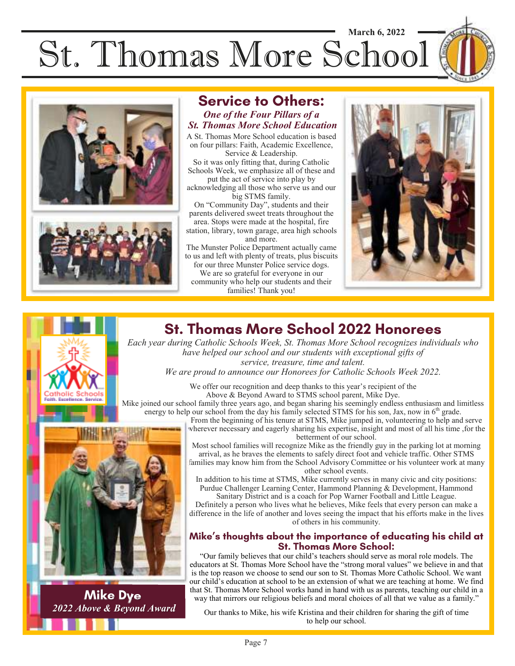# St. Thomas More School **March 6, 2022**





# **Service to Others:**

#### *One of the Four Pillars of a St. Thomas More School Education*

A St. Thomas More School education is based on four pillars: Faith, Academic Excellence, Service & Leadership.

So it was only fitting that, during Catholic Schools Week, we emphasize all of these and put the act of service into play by

acknowledging all those who serve us and our big STMS family.

On "Community Day", students and their parents delivered sweet treats throughout the area. Stops were made at the hospital, fire

station, library, town garage, area high schools and more.

The Munster Police Department actually came to us and left with plenty of treats, plus biscuits

for our three Munster Police service dogs. We are so grateful for everyone in our community who help our students and their families! Thank you!



# **St. Thomas More School 2022 Honorees**

*Each year during Catholic Schools Week, St. Thomas More School recognizes individuals who have helped our school and our students with exceptional gifts of service, treasure, time and talent.* 

*We are proud to announce our Honorees for Catholic Schools Week 2022.* 

We offer our recognition and deep thanks to this year's recipient of the Above & Beyond Award to STMS school parent, Mike Dye.

Mike joined our school family three years ago, and began sharing his seemingly endless enthusiasm and limitless energy to help our school from the day his family selected STMS for his son, Jax, now in 6<sup>th</sup> grade.

From the beginning of his tenure at STMS, Mike jumped in, volunteering to help and serve wherever necessary and eagerly sharing his expertise, insight and most of all his time ,for the betterment of our school. Most school families will recognize Mike as the friendly guy in the parking lot at morning arrival, as he braves the elements to safely direct foot and vehicle traffic. Other STMS families may know him from the School Advisory Committee or his volunteer work at many other school events.

> In addition to his time at STMS, Mike currently serves in many civic and city positions: Purdue Challenger Learning Center, Hammond Planning & Development, Hammond Sanitary District and is a coach for Pop Warner Football and Little League.

Definitely a person who lives what he believes, Mike feels that every person can make a difference in the life of another and loves seeing the impact that his efforts make in the lives of others in his community.

#### **Mike's thoughts about the importance of educating his child at St. Thomas More School:**

"Our family believes that our child's teachers should serve as moral role models. The educators at St. Thomas More School have the "strong moral values" we believe in and that is the top reason we choose to send our son to St. Thomas More Catholic School. We want our child's education at school to be an extension of what we are teaching at home. We find that St. Thomas More School works hand in hand with us as parents, teaching our child in a way that mirrors our religious beliefs and moral choices of all that we value as a family."

Our thanks to Mike, his wife Kristina and their children for sharing the gift of time to help our school.



**Mike Dye** *2022 Above & Beyond Award*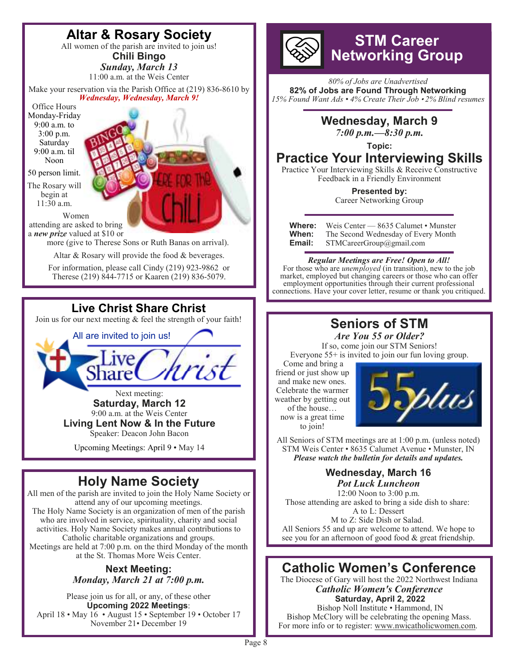

Next meeting: **Saturday, March 12**  9:00 a.m. at the Weis Center **Living Lent Now & In the Future**  Speaker: Deacon John Bacon

Upcoming Meetings: April 9 • May 14

# **Holy Name Society**

All men of the parish are invited to join the Holy Name Society or attend any of our upcoming meetings. The Holy Name Society is an organization of men of the parish who are involved in service, spirituality, charity and social activities. Holy Name Society makes annual contributions to Catholic charitable organizations and groups. Meetings are held at 7:00 p.m. on the third Monday of the month at the St. Thomas More Weis Center.

#### **Next Meeting:**  *Monday, March 21 at 7:00 p.m.*

Please join us for all, or any, of these other **Upcoming 2022 Meetings**: April 18 • May 16 • August 15 • September 19 • October 17 November 21• December 19

# **STM Career Networking Group**

*80% of Jobs are Unadvertised*  **82% of Jobs are Found Through Networking**  *15% Found Want Ads • 4% Create Their Job* • *2% Blind resumes*



# **Practice Your Interviewing Skills**

Practice Your Interviewing Skills & Receive Constructive Feedback in a Friendly Environment

> **Presented by:**  Career Networking Group

| Where: | Weis Center — 8635 Calumet • Munster |
|--------|--------------------------------------|
| When:  | The Second Wednesday of Every Month  |
| Email: | STMCareerGroup@gmail.com             |

#### *Regular Meetings are Free! Open to All!*

For those who are *unemployed* (in transition), new to the job market, employed but changing careers or those who can offer employment opportunities through their current professional connections. Have your cover letter, resume or thank you critiqued.

#### **Seniors of STM**  *Are You 55 or Older?*

If so, come join our STM Seniors! Everyone 55+ is invited to join our fun loving group.

 Come and bring a friend or just show up and make new ones. Celebrate the warmer weather by getting out of the house… now is a great time to join!



All Seniors of STM meetings are at 1:00 p.m. (unless noted) STM Weis Center • 8635 Calumet Avenue • Munster, IN *Please watch the bulletin for details and updates.* 

# **Wednesday, March 16**

*Pot Luck Luncheon*  12:00 Noon to 3:00 p.m. Those attending are asked to bring a side dish to share: A to L: Dessert M to Z: Side Dish or Salad. All Seniors 55 and up are welcome to attend. We hope to see you for an afternoon of good food & great friendship.

# **Catholic Women's Conference**

The Diocese of Gary will host the 2022 Northwest Indiana *Catholic Women's Conference*   **Saturday, April 2, 2022** 

 Bishop Noll Institute • Hammond, IN Bishop McClory will be celebrating the opening Mass. For more info or to register: www.nwicatholicwomen.com.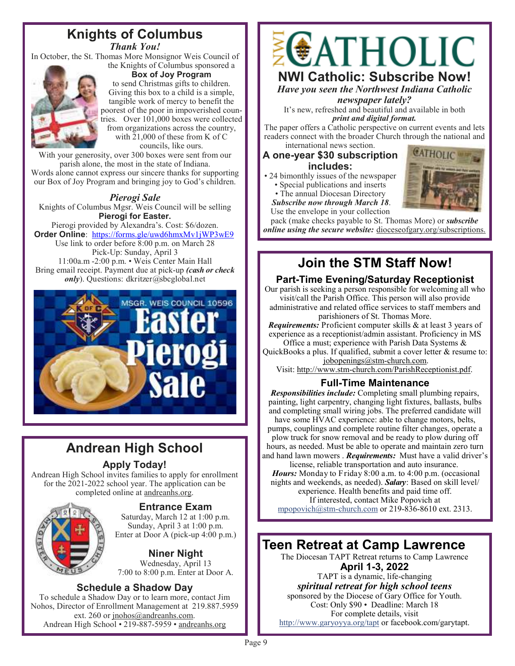# **Knights of Columbus**

*Thank You!* 

In October, the St. Thomas More Monsignor Weis Council of the Knights of Columbus sponsored a



**Box of Joy Program**  to send Christmas gifts to children. Giving this box to a child is a simple, tangible work of mercy to benefit the poorest of the poor in impoverished countries. Over 101,000 boxes were collected from organizations across the country, with 21,000 of these from K of C councils, like ours.

With your generosity, over 300 boxes were sent from our parish alone, the most in the state of Indiana. Words alone cannot express our sincere thanks for supporting our Box of Joy Program and bringing joy to God's children.

#### *Pierogi Sale*

Knights of Columbus Mgsr. Weis Council will be selling **Pierogi for Easter.** 

Pierogi provided by Alexandra's. Cost: \$6/dozen. **Order Online**: https://forms.gle/uwd6hmxMv1jWP3wE9 Use link to order before 8:00 p.m. on March 28 Pick-Up: Sunday, April 3 11:00a.m -2:00 p.m. • Weis Center Main Hall Bring email receipt. Payment due at pick-up *(cash or check only*). Questions: dkritzer@sbcglobal.net



# **Andrean High School**

#### **Apply Today!**

Andrean High School invites families to apply for enrollment for the 2021-2022 school year. The application can be completed online at andreanhs.org.



**Entrance Exam** 

Saturday, March 12 at 1:00 p.m. Sunday, April 3 at 1:00 p.m. Enter at Door A (pick-up 4:00 p.m.)

**Niner Night** 

Wednesday, April 13 7:00 to 8:00 p.m. Enter at Door A.

#### **Schedule a Shadow Day**

To schedule a Shadow Day or to learn more, contact Jim Nohos, Director of Enrollment Management at 219.887.5959 ext. 260 or jnohos@andreanhs.com. Andrean High School • 219-887-5959 • andreanhs.org



*Have you seen the Northwest Indiana Catholic* 

*newspaper lately?* 

It's new, refreshed and beautiful and available in both *print and digital format.* 

The paper offers a Catholic perspective on current events and lets readers connect with the broader Church through the national and international news section.

#### **A one-year \$30 subscription includes:**

- 24 bimonthly issues of the newspaper
	- Special publications and inserts
	- The annual Diocesan Directory *Subscribe now through March 18*.



Use the envelope in your collection pack (make checks payable to St. Thomas More) or *subscribe online using the secure website:* dioceseofgary.org/subscriptions.

# **Join the STM Staff Now!**

## **Part-Time Evening/Saturday Receptionist**

Our parish is seeking a person responsible for welcoming all who visit/call the Parish Office. This person will also provide administrative and related office services to staff members and parishioners of St. Thomas More.

*Requirements:* Proficient computer skills & at least 3 years of experience as a receptionist/admin assistant. Proficiency in MS Office a must; experience with Parish Data Systems &

QuickBooks a plus. If qualified, submit a cover letter & resume to: jobopenings@stm-church.com.

Visit: http://www.stm-church.com/ParishReceptionist.pdf.

## **Full-Time Maintenance**

*Responsibilities include:* Completing small plumbing repairs, painting, light carpentry, changing light fixtures, ballasts, bulbs and completing small wiring jobs. The preferred candidate will have some HVAC experience: able to change motors, belts, pumps, couplings and complete routine filter changes, operate a plow truck for snow removal and be ready to plow during off hours, as needed. Must be able to operate and maintain zero turn and hand lawn mowers . *Requirements:* Must have a valid driver's license, reliable transportation and auto insurance.

*Hours:* Monday to Friday 8:00 a.m. to 4:00 p.m. (occasional nights and weekends, as needed). *Salary*: Based on skill level/ experience. Health benefits and paid time off. If interested, contact Mike Popovich at

mpopovich@stm-church.com or 219-836-8610 ext. 2313.

# **Teen Retreat at Camp Lawrence**

The Diocesan TAPT Retreat returns to Camp Lawrence **April 1-3, 2022** 

TAPT is a dynamic, life-changing *spiritual retreat for high school teens* 

sponsored by the Diocese of Gary Office for Youth. Cost: Only \$90 • Deadline: March 18 For complete details, visit http://www.garyoyya.org/tapt or facebook.com/garytapt.